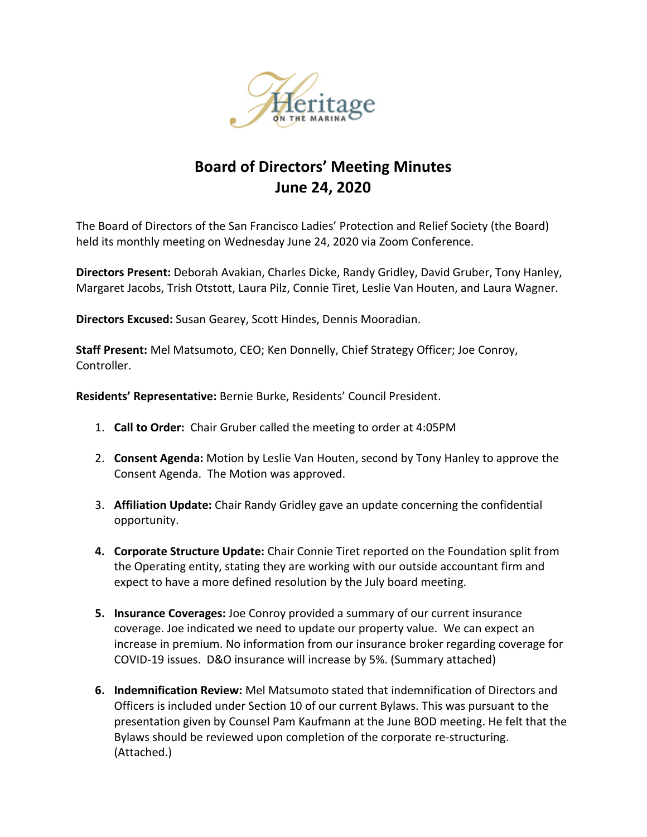

# **Board of Directors' Meeting Minutes June 24, 2020**

The Board of Directors of the San Francisco Ladies' Protection and Relief Society (the Board) held its monthly meeting on Wednesday June 24, 2020 via Zoom Conference.

**Directors Present:** Deborah Avakian, Charles Dicke, Randy Gridley, David Gruber, Tony Hanley, Margaret Jacobs, Trish Otstott, Laura Pilz, Connie Tiret, Leslie Van Houten, and Laura Wagner.

**Directors Excused:** Susan Gearey, Scott Hindes, Dennis Mooradian.

**Staff Present:** Mel Matsumoto, CEO; Ken Donnelly, Chief Strategy Officer; Joe Conroy, Controller.

**Residents' Representative:** Bernie Burke, Residents' Council President.

- 1. **Call to Order:** Chair Gruber called the meeting to order at 4:05PM
- 2. **Consent Agenda:** Motion by Leslie Van Houten, second by Tony Hanley to approve the Consent Agenda. The Motion was approved.
- 3. **Affiliation Update:** Chair Randy Gridley gave an update concerning the confidential opportunity.
- **4. Corporate Structure Update:** Chair Connie Tiret reported on the Foundation split from the Operating entity, stating they are working with our outside accountant firm and expect to have a more defined resolution by the July board meeting.
- **5. Insurance Coverages:** Joe Conroy provided a summary of our current insurance coverage. Joe indicated we need to update our property value. We can expect an increase in premium. No information from our insurance broker regarding coverage for COVID-19 issues. D&O insurance will increase by 5%. (Summary attached)
- **6. Indemnification Review:** Mel Matsumoto stated that indemnification of Directors and Officers is included under Section 10 of our current Bylaws. This was pursuant to the presentation given by Counsel Pam Kaufmann at the June BOD meeting. He felt that the Bylaws should be reviewed upon completion of the corporate re-structuring. (Attached.)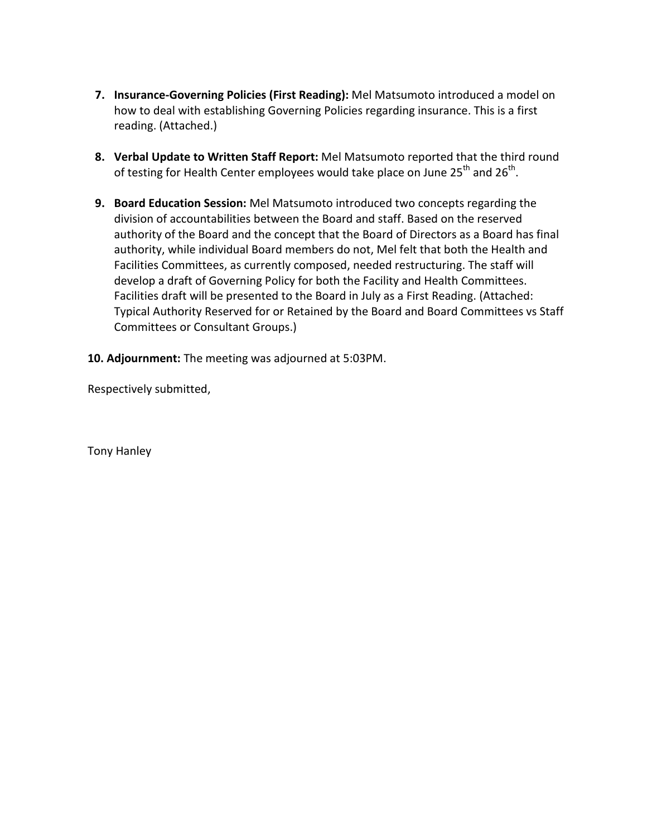- **7. Insurance-Governing Policies (First Reading):** Mel Matsumoto introduced a model on how to deal with establishing Governing Policies regarding insurance. This is a first reading. (Attached.)
- **8. Verbal Update to Written Staff Report:** Mel Matsumoto reported that the third round of testing for Health Center employees would take place on June  $25<sup>th</sup>$  and  $26<sup>th</sup>$ .
- **9. Board Education Session:** Mel Matsumoto introduced two concepts regarding the division of accountabilities between the Board and staff. Based on the reserved authority of the Board and the concept that the Board of Directors as a Board has final authority, while individual Board members do not, Mel felt that both the Health and Facilities Committees, as currently composed, needed restructuring. The staff will develop a draft of Governing Policy for both the Facility and Health Committees. Facilities draft will be presented to the Board in July as a First Reading. (Attached: Typical Authority Reserved for or Retained by the Board and Board Committees vs Staff Committees or Consultant Groups.)
- **10. Adjournment:** The meeting was adjourned at 5:03PM.

Respectively submitted,

Tony Hanley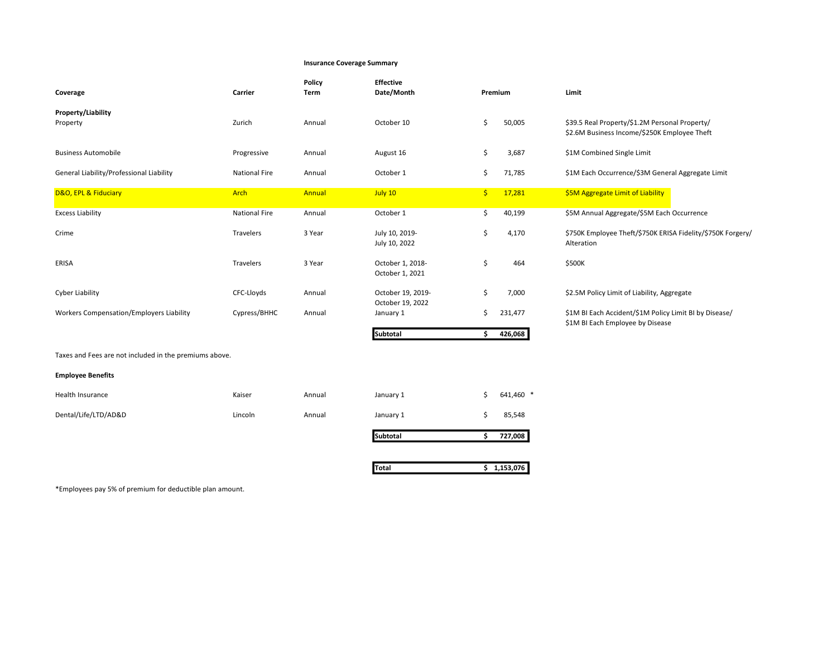#### Insurance Coverage Summary

| Coverage                                               | Carrier              | Policy<br>Term | <b>Effective</b><br>Date/Month        | Premium |           | Limit                                                                                          |  |
|--------------------------------------------------------|----------------------|----------------|---------------------------------------|---------|-----------|------------------------------------------------------------------------------------------------|--|
| <b>Property/Liability</b><br>Property                  | Zurich               | Annual         | October 10                            | \$      | 50,005    | \$39.5 Real Property/\$1.2M Personal Property/<br>\$2.6M Business Income/\$250K Employee Theft |  |
| <b>Business Automobile</b>                             | Progressive          | Annual         | August 16                             | \$      | 3,687     | \$1M Combined Single Limit                                                                     |  |
| General Liability/Professional Liability               | <b>National Fire</b> | Annual         | October 1                             | \$      | 71,785    | \$1M Each Occurrence/\$3M General Aggregate Limit                                              |  |
| D&O, EPL & Fiduciary                                   | Arch                 | Annual         | July 10                               | \$.     | 17,281    | \$5M Aggregate Limit of Liability                                                              |  |
| <b>Excess Liability</b>                                | <b>National Fire</b> | Annual         | October 1                             | \$      | 40,199    | \$5M Annual Aggregate/\$5M Each Occurrence                                                     |  |
| Crime                                                  | Travelers            | 3 Year         | July 10, 2019-<br>July 10, 2022       | \$      | 4,170     | \$750K Employee Theft/\$750K ERISA Fidelity/\$750K Forgery/<br>Alteration                      |  |
| ERISA                                                  | Travelers            | 3 Year         | October 1, 2018-<br>October 1, 2021   | \$      | 464       | \$500K                                                                                         |  |
| Cyber Liability                                        | CFC-Lloyds           | Annual         | October 19, 2019-<br>October 19, 2022 | \$      | 7,000     | \$2.5M Policy Limit of Liability, Aggregate                                                    |  |
| <b>Workers Compensation/Employers Liability</b>        | Cypress/BHHC         | Annual         | January 1                             | \$      | 231,477   | \$1M BI Each Accident/\$1M Policy Limit BI by Disease/<br>\$1M BI Each Employee by Disease     |  |
|                                                        |                      |                | Subtotal                              | \$      | 426,068   |                                                                                                |  |
| Taxes and Fees are not included in the premiums above. |                      |                |                                       |         |           |                                                                                                |  |
| <b>Employee Benefits</b>                               |                      |                |                                       |         |           |                                                                                                |  |
| Health Insurance                                       | Kaiser               | Annual         | January 1                             | Ś       | 641,460 * |                                                                                                |  |
| Dental/Life/LTD/AD&D                                   | Lincoln              | Annual         | January 1                             | \$      | 85,548    |                                                                                                |  |

Subtotal \$ 727,008

Total \$ 1,153,076

\*Employees pay 5% of premium for deductible plan amount.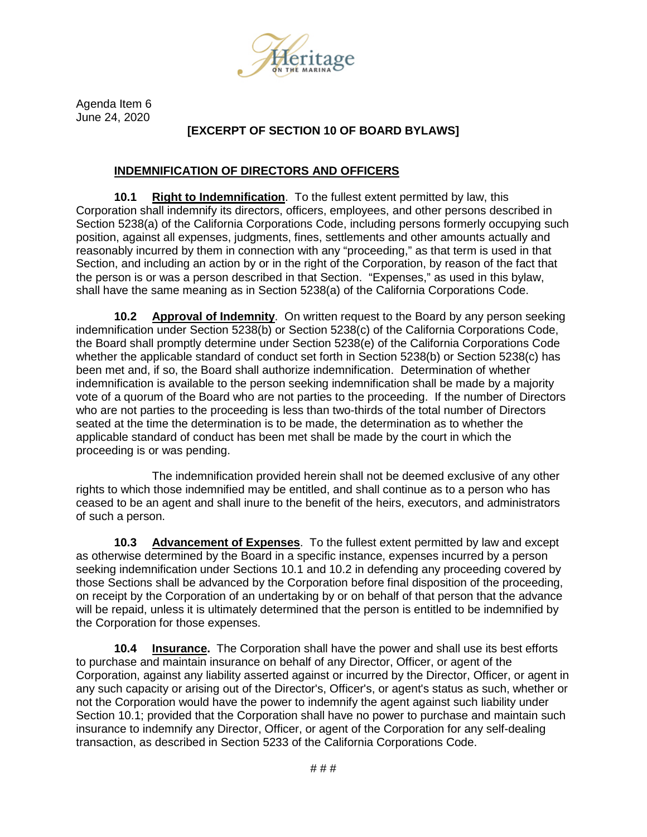

Agenda Item 6 June 24, 2020

# **[EXCERPT OF SECTION 10 OF BOARD BYLAWS]**

#### **INDEMNIFICATION OF DIRECTORS AND OFFICERS**

**10.1 Right to Indemnification**. To the fullest extent permitted by law, this Corporation shall indemnify its directors, officers, employees, and other persons described in Section 5238(a) of the California Corporations Code, including persons formerly occupying such position, against all expenses, judgments, fines, settlements and other amounts actually and reasonably incurred by them in connection with any "proceeding," as that term is used in that Section, and including an action by or in the right of the Corporation, by reason of the fact that the person is or was a person described in that Section. "Expenses," as used in this bylaw, shall have the same meaning as in Section 5238(a) of the California Corporations Code.

**10.2 Approval of Indemnity**. On written request to the Board by any person seeking indemnification under Section 5238(b) or Section 5238(c) of the California Corporations Code, the Board shall promptly determine under Section 5238(e) of the California Corporations Code whether the applicable standard of conduct set forth in Section 5238(b) or Section 5238(c) has been met and, if so, the Board shall authorize indemnification. Determination of whether indemnification is available to the person seeking indemnification shall be made by a majority vote of a quorum of the Board who are not parties to the proceeding. If the number of Directors who are not parties to the proceeding is less than two-thirds of the total number of Directors seated at the time the determination is to be made, the determination as to whether the applicable standard of conduct has been met shall be made by the court in which the proceeding is or was pending.

The indemnification provided herein shall not be deemed exclusive of any other rights to which those indemnified may be entitled, and shall continue as to a person who has ceased to be an agent and shall inure to the benefit of the heirs, executors, and administrators of such a person.

**10.3 Advancement of Expenses**. To the fullest extent permitted by law and except as otherwise determined by the Board in a specific instance, expenses incurred by a person seeking indemnification under Sections 10.1 and 10.2 in defending any proceeding covered by those Sections shall be advanced by the Corporation before final disposition of the proceeding, on receipt by the Corporation of an undertaking by or on behalf of that person that the advance will be repaid, unless it is ultimately determined that the person is entitled to be indemnified by the Corporation for those expenses.

**10.4 Insurance.** The Corporation shall have the power and shall use its best efforts to purchase and maintain insurance on behalf of any Director, Officer, or agent of the Corporation, against any liability asserted against or incurred by the Director, Officer, or agent in any such capacity or arising out of the Director's, Officer's, or agent's status as such, whether or not the Corporation would have the power to indemnify the agent against such liability under Section 10.1; provided that the Corporation shall have no power to purchase and maintain such insurance to indemnify any Director, Officer, or agent of the Corporation for any self-dealing transaction, as described in Section 5233 of the California Corporations Code.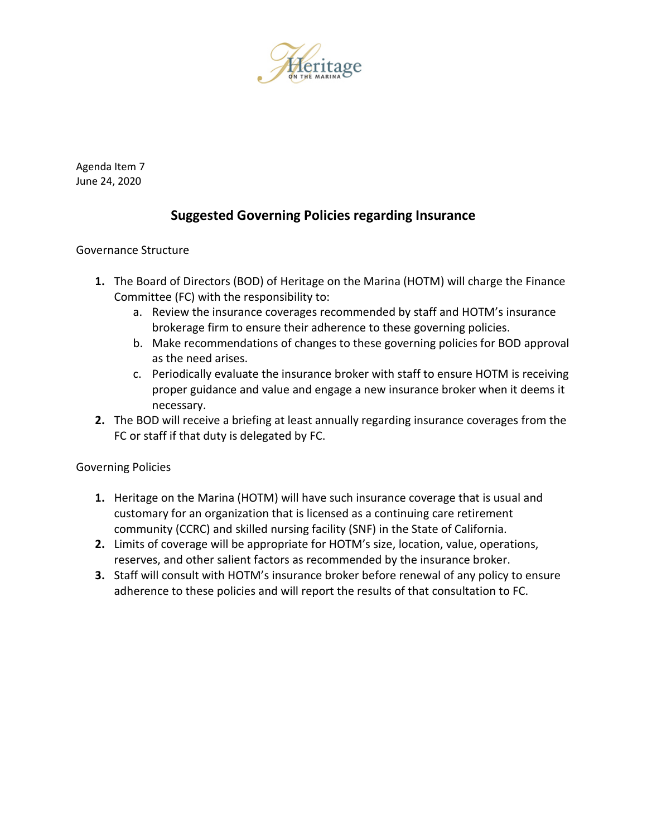

Agenda Item 7 June 24, 2020

# **Suggested Governing Policies regarding Insurance**

# Governance Structure

- **1.** The Board of Directors (BOD) of Heritage on the Marina (HOTM) will charge the Finance Committee (FC) with the responsibility to:
	- a. Review the insurance coverages recommended by staff and HOTM's insurance brokerage firm to ensure their adherence to these governing policies.
	- b. Make recommendations of changes to these governing policies for BOD approval as the need arises.
	- c. Periodically evaluate the insurance broker with staff to ensure HOTM is receiving proper guidance and value and engage a new insurance broker when it deems it necessary.
- **2.** The BOD will receive a briefing at least annually regarding insurance coverages from the FC or staff if that duty is delegated by FC.

Governing Policies

- **1.** Heritage on the Marina (HOTM) will have such insurance coverage that is usual and customary for an organization that is licensed as a continuing care retirement community (CCRC) and skilled nursing facility (SNF) in the State of California.
- **2.** Limits of coverage will be appropriate for HOTM's size, location, value, operations, reserves, and other salient factors as recommended by the insurance broker.
- **3.** Staff will consult with HOTM's insurance broker before renewal of any policy to ensure adherence to these policies and will report the results of that consultation to FC.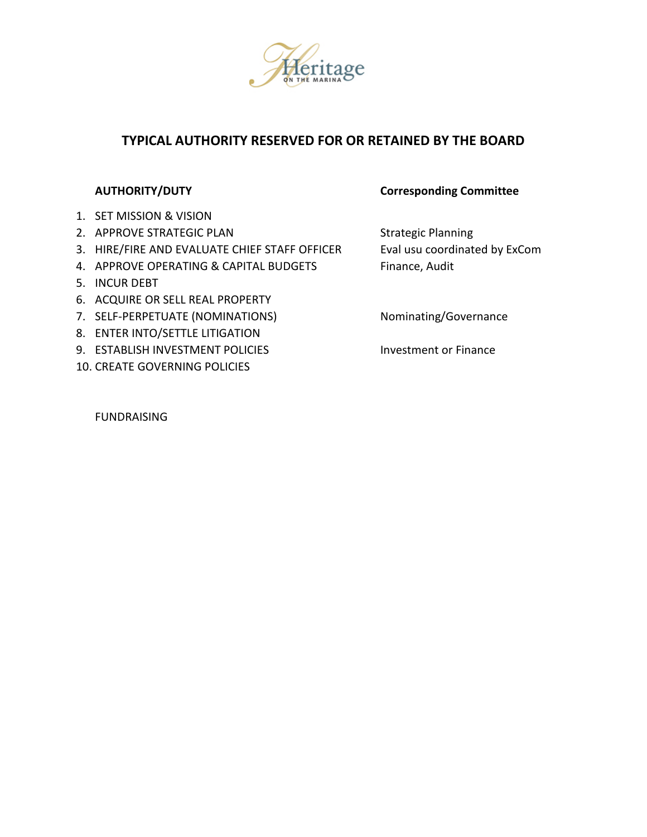

# **TYPICAL AUTHORITY RESERVED FOR OR RETAINED BY THE BOARD**

- 1. SET MISSION & VISION
- 2. APPROVE STRATEGIC PLAN Strategic Planning
- 3. HIRE/FIRE AND EVALUATE CHIEF STAFF OFFICER Eval usu coordinated by ExCom
- 4. APPROVE OPERATING & CAPITAL BUDGETS Finance, Audit
- 5. INCUR DEBT
- 6. ACQUIRE OR SELL REAL PROPERTY
- 7. SELF-PERPETUATE (NOMINATIONS) Nominating/Governance
- 8. ENTER INTO/SETTLE LITIGATION
- 9. ESTABLISH INVESTMENT POLICIES Investment or Finance
- 10. CREATE GOVERNING POLICIES

### **AUTHORITY/DUTY Corresponding Committee**

FUNDRAISING